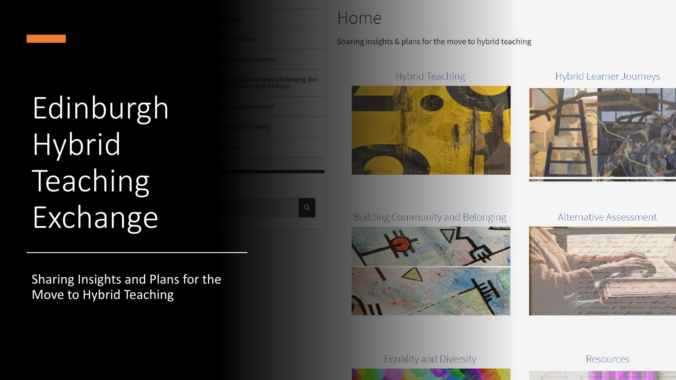# Edinburgh Hybrid Teaching Exchange

Sharing Insights and Plans for the Move to Hybrid Teaching

## Home

mmunity and Belonging (for

## Sharing insights & plans for the move to hybrid teaching

## **Hybrid Teaching**



Hybrid Learner Journeys



## **Building Community and Belonging**



**Alternative Assessment** 



## **Equality and Diversity**



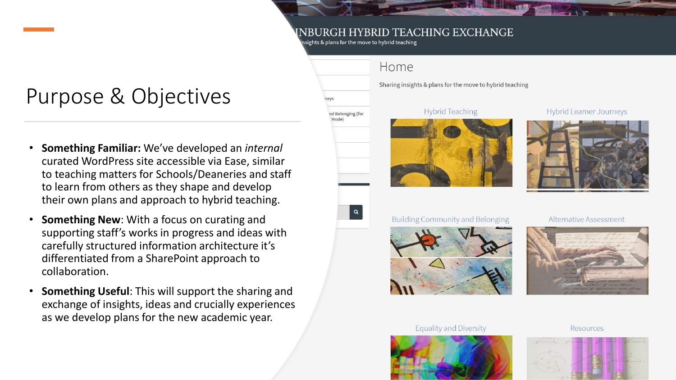## NBURGH HYBRID TEACHING EXCHANGE

nsights & plans for the move to hybrid teaching

nd Belonging (for Mode)

 $\alpha$ 

## Purpose & Objectives

- **Something Familiar:** We've developed an *internal* curated WordPress site accessible via Ease, similar to teaching matters for Schools/Deaneries and staff to learn from others as they shape and develop their own plans and approach to hybrid teaching.
- **Something New:** With a focus on curating and supporting staff's works in progress and ideas with carefully structured information architecture it's differentiated from a SharePoint approach to collaboration.
- **Something Useful**: This will support the sharing and exchange of insights, ideas and crucially experiences as we develop plans for the new academic year.

# Home Sharing insights & plans for the move to hybrid teaching **Hybrid Teaching**

#### **Hybrid Learner Journeys**



## **Building Community and Belonging**



#### Alternative Assessment



## **Equality and Diversity**



**Resources** 

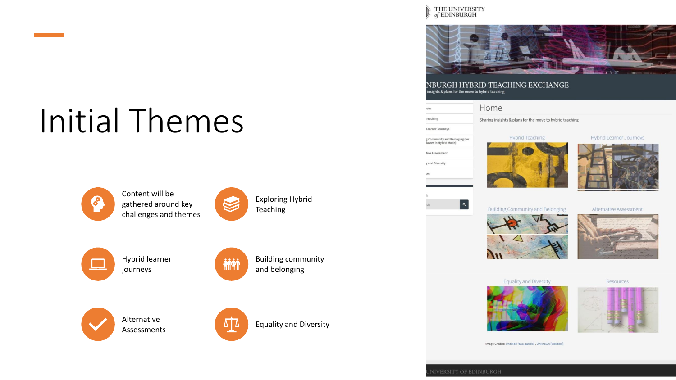## **Initial Themes**









 $\sqrt{4}$ 

## THE UNIVERSITY<br> *of* EDINBURGH



NBURGH HYBRID TEACHING EXCHANGE nsights & plans for the move to hybrid teaching



#### **Equality and Diversity**





Image Credits: Untitled (two panels), Unknown [Welders]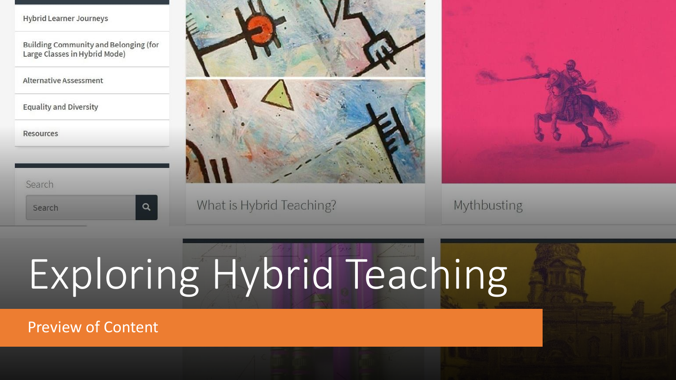| Hybrid Learner Journeys |  |
|-------------------------|--|
|                         |  |

Building Community and Belonging (for Large Classes in Hybrid Mode)

**Alternative Assessment** 

**Equality and Diversity** 

Resources





What is Hybrid Teaching?



Mythbusting

# Exploring Hybrid Teaching

**Preview of Content** 

 $\alpha$